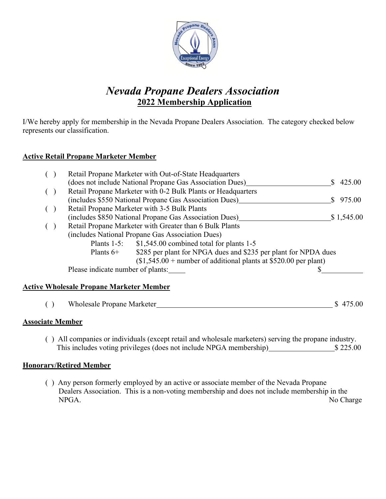

# *Nevada Propane Dealers Association***2022 Membership Application**

I/We hereby apply for membership in the Nevada Propane Dealers Association. The category checked below represents our classification.

### **Active Retail Propane Marketer Member**

|          |                                                  | Retail Propane Marketer with Out-of-State Headquarters            |     |            |  |  |
|----------|--------------------------------------------------|-------------------------------------------------------------------|-----|------------|--|--|
|          |                                                  | (does not include National Propane Gas Association Dues)          | SS. | 425.00     |  |  |
| $\left($ |                                                  | Retail Propane Marketer with 0-2 Bulk Plants or Headquarters      |     |            |  |  |
|          |                                                  | (includes \$550 National Propane Gas Association Dues)            |     | \$975.00   |  |  |
| $\left($ |                                                  | Retail Propane Marketer with 3-5 Bulk Plants                      |     |            |  |  |
|          |                                                  | (includes \$850 National Propane Gas Association Dues)            |     | \$1,545.00 |  |  |
|          |                                                  | Retail Propane Marketer with Greater than 6 Bulk Plants           |     |            |  |  |
|          | (includes National Propane Gas Association Dues) |                                                                   |     |            |  |  |
|          |                                                  | Plants 1-5: \$1,545.00 combined total for plants 1-5              |     |            |  |  |
|          | Plants $6+$                                      | \$285 per plant for NPGA dues and \$235 per plant for NPDA dues   |     |            |  |  |
|          |                                                  | $($1,545.00 +$ number of additional plants at \$520.00 per plant) |     |            |  |  |
|          | Please indicate number of plants:                |                                                                   |     |            |  |  |

#### **Active Wholesale Propane Marketer Member**

( ) Wholesale Propane Marketer  $$ 475.00$ 

### **Associate Member**

( ) All companies or individuals (except retail and wholesale marketers) serving the propane industry. This includes voting privileges (does not include NPGA membership) \$ 225.00

#### **Honorary/Retired Member**

( ) Any person formerly employed by an active or associate member of the Nevada Propane Dealers Association. This is a non-voting membership and does not include membership in the NPGA. No Charge No. 2014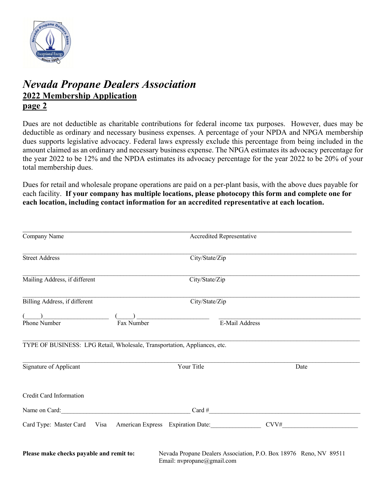

## *Nevada Propane Dealers Association* **2022 Membership Application page 2**

Dues are not deductible as charitable contributions for federal income tax purposes. However, dues may be deductible as ordinary and necessary business expenses. A percentage of your NPDA and NPGA membership dues supports legislative advocacy. Federal laws expressly exclude this percentage from being included in the amount claimed as an ordinary and necessary business expense. The NPGA estimates its advocacy percentage for the year 2022 to be 12% and the NPDA estimates its advocacy percentage for the year 2022 to be 20% of your total membership dues.

Dues for retail and wholesale propane operations are paid on a per-plant basis, with the above dues payable for each facility. **If your company has multiple locations, please photocopy this form and complete one for each location, including contact information for an accredited representative at each location.**

| Company Name                                                                     |            | Accredited Representative  |                |                                                                   |  |
|----------------------------------------------------------------------------------|------------|----------------------------|----------------|-------------------------------------------------------------------|--|
| <b>Street Address</b>                                                            |            | City/State/Zip             |                |                                                                   |  |
| Mailing Address, if different                                                    |            | City/State/Zip             |                |                                                                   |  |
| Billing Address, if different                                                    |            | City/State/Zip             |                |                                                                   |  |
| $\left($<br>Phone Number                                                         | Fax Number |                            | E-Mail Address |                                                                   |  |
| TYPE OF BUSINESS: LPG Retail, Wholesale, Transportation, Appliances, etc.        |            |                            |                |                                                                   |  |
| Signature of Applicant                                                           |            | Your Title                 |                | Date                                                              |  |
| Credit Card Information                                                          |            |                            |                |                                                                   |  |
| Name on Card:                                                                    |            |                            |                | $Card \#$                                                         |  |
| Card Type: Master Card Visa American Express Expiration Date: __________________ |            |                            |                | CVV#                                                              |  |
| Please make checks payable and remit to:                                         |            | Email: nvpropane@gmail.com |                | Nevada Propane Dealers Association, P.O. Box 18976 Reno, NV 89511 |  |